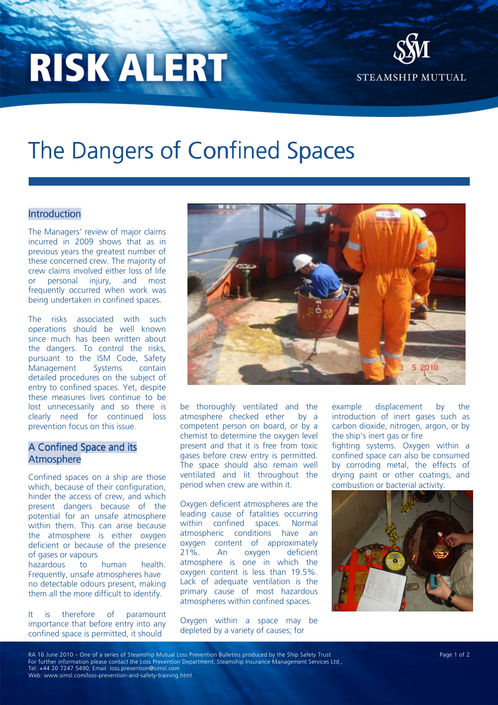# **RISK ALERT**



## The Dangers of Confined Spaces

#### Introduction

The Managers' review of major claims incurred in 2009 shows that as in previous years the greatest number of these concerned crew. The majority of crew claims involved either loss of life or personal injury, and most frequently occurred when work was being undertaken in confined spaces.

The risks associated with such operations should be well known since much has been written about the dangers. To control the risks, pursuant to the ISM Code, Safety Management Systems contain detailed procedures on the subject of entry to confined spaces. Yet, despite these measures lives continue to be lost unnecessarily and so there is clearly need for continued loss prevention focus on this issue.

#### A Confined Space and its Atmosphere

Confined spaces on a ship are those which, because of their configuration, hinder the access of crew, and which present dangers because of the potential for an unsafe atmosphere within them. This can arise because the atmosphere is either oxygen deficient or because of the presence of gases or vapours hazardous to human health. Frequently, unsafe atmospheres have no detectable odours present, making

It is therefore of paramount importance that before entry into any confined space is permitted, it should

them all the more difficult to identify.



be thoroughly ventilated and the atmosphere checked ether by a competent person on board, or by a chemist to determine the oxygen level present and that it is free from toxic gases before crew entry is permitted. The space should also remain well ventilated and lit throughout the period when crew are within it.

Oxygen deficient atmospheres are the leading cause of fatalities occurring within confined spaces. Normal atmospheric conditions have an oxygen content of approximately 21%. An oxygen deficient atmosphere is one in which the oxygen content is less than 19.5%. Lack of adequate ventilation is the primary cause of most hazardous atmospheres within confined spaces.

Oxygen within a space may be depleted by a variety of causes; for

example displacement by the introduction of inert gases such as carbon dioxide, nitrogen, argon, or by the ship's inert gas or fire fighting systems. Oxygen within a confined space can also be consumed by corroding metal, the effects of drying paint or other coatings, and combustion or bacterial activity.



RA 16 June 2010 – One of a series of Steamship Mutual Loss Prevention Bulletins produced by the Ship Safety Trust Page 1 of 2 For further information please contact the Loss Prevention Department, Steamship Insurance Management Services Ltd., Tel: +44 20 7247 5490; Email: loss.prevention@simsl.com Web: www.simsl.com/loss-prevention-and-safety-training.html